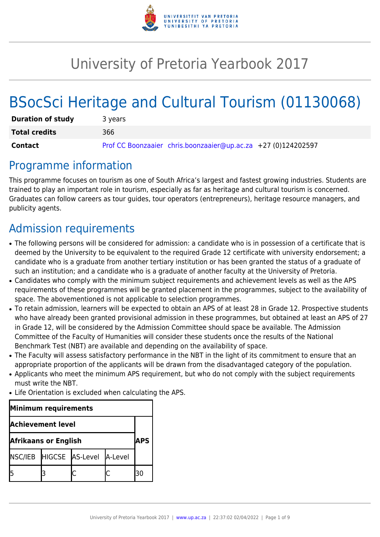

# University of Pretoria Yearbook 2017

# BSocSci Heritage and Cultural Tourism (01130068)

| <b>Duration of study</b> | 3 years                                                       |  |  |  |
|--------------------------|---------------------------------------------------------------|--|--|--|
| <b>Total credits</b>     | 366                                                           |  |  |  |
| Contact                  | Prof CC Boonzaaier chris.boonzaaier@up.ac.za +27 (0)124202597 |  |  |  |

# Programme information

This programme focuses on tourism as one of South Africa's largest and fastest growing industries. Students are trained to play an important role in tourism, especially as far as heritage and cultural tourism is concerned. Graduates can follow careers as tour guides, tour operators (entrepreneurs), heritage resource managers, and publicity agents.

# Admission requirements

- The following persons will be considered for admission: a candidate who is in possession of a certificate that is deemed by the University to be equivalent to the required Grade 12 certificate with university endorsement; a candidate who is a graduate from another tertiary institution or has been granted the status of a graduate of such an institution; and a candidate who is a graduate of another faculty at the University of Pretoria.
- Candidates who comply with the minimum subject requirements and achievement levels as well as the APS requirements of these programmes will be granted placement in the programmes, subject to the availability of space. The abovementioned is not applicable to selection programmes.
- To retain admission, learners will be expected to obtain an APS of at least 28 in Grade 12. Prospective students who have already been granted provisional admission in these programmes, but obtained at least an APS of 27 in Grade 12, will be considered by the Admission Committee should space be available. The Admission Committee of the Faculty of Humanities will consider these students once the results of the National Benchmark Test (NBT) are available and depending on the availability of space.
- The Faculty will assess satisfactory performance in the NBT in the light of its commitment to ensure that an appropriate proportion of the applicants will be drawn from the disadvantaged category of the population.
- Applicants who meet the minimum APS requirement, but who do not comply with the subject requirements must write the NBT.
- Life Orientation is excluded when calculating the APS.

| Minimum requirements        |  |                                 |  |  |  |
|-----------------------------|--|---------------------------------|--|--|--|
| <b>Achievement level</b>    |  |                                 |  |  |  |
| <b>Afrikaans or English</b> |  |                                 |  |  |  |
|                             |  | NSC/IEB HIGCSE AS-Level A-Level |  |  |  |
|                             |  |                                 |  |  |  |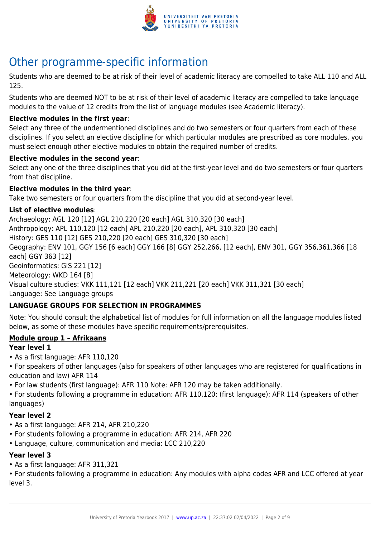

# Other programme-specific information

Students who are deemed to be at risk of their level of academic literacy are compelled to take ALL 110 and ALL 125.

Students who are deemed NOT to be at risk of their level of academic literacy are compelled to take language modules to the value of 12 credits from the list of language modules (see Academic literacy).

#### **Elective modules in the first year**:

Select any three of the undermentioned disciplines and do two semesters or four quarters from each of these disciplines. If you select an elective discipline for which particular modules are prescribed as core modules, you must select enough other elective modules to obtain the required number of credits.

#### **Elective modules in the second year**:

Select any one of the three disciplines that you did at the first-year level and do two semesters or four quarters from that discipline.

#### **Elective modules in the third year**:

Take two semesters or four quarters from the discipline that you did at second-year level.

#### **List of elective modules**:

Archaeology: AGL 120 [12] AGL 210,220 [20 each] AGL 310,320 [30 each] Anthropology: APL 110,120 [12 each] APL 210,220 [20 each], APL 310,320 [30 each] History: GES 110 [12] GES 210,220 [20 each] GES 310,320 [30 each] Geography: ENV 101, GGY 156 [6 each] GGY 166 [8] GGY 252,266, [12 each], ENV 301, GGY 356,361,366 [18 each] GGY 363 [12] Geoinformatics: GIS 221 [12] Meteorology: WKD 164 [8] Visual culture studies: VKK 111,121 [12 each] VKK 211,221 [20 each] VKK 311,321 [30 each] Language: See Language groups

#### **LANGUAGE GROUPS FOR SELECTION IN PROGRAMMES**

Note: You should consult the alphabetical list of modules for full information on all the language modules listed below, as some of these modules have specific requirements/prerequisites.

#### **Module group 1 – Afrikaans**

#### **Year level 1**

- As a first language: AFR 110,120
- For speakers of other languages (also for speakers of other languages who are registered for qualifications in education and law) AFR 114
- For law students (first language): AFR 110 Note: AFR 120 may be taken additionally.

• For students following a programme in education: AFR 110,120; (first language); AFR 114 (speakers of other languages)

#### **Year level 2**

- As a first language: AFR 214, AFR 210,220
- For students following a programme in education: AFR 214, AFR 220
- Language, culture, communication and media: LCC 210,220

#### **Year level 3**

• As a first language: AFR 311,321

• For students following a programme in education: Any modules with alpha codes AFR and LCC offered at year level 3.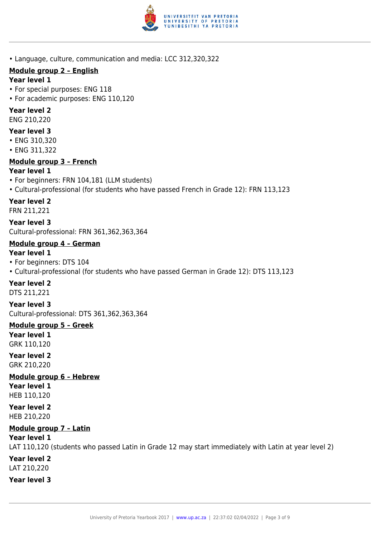

• Language, culture, communication and media: LCC 312,320,322

## **Module group 2 – English**

#### **Year level 1**

- For special purposes: ENG 118
- For academic purposes: ENG 110,120

### **Year level 2**

ENG 210,220

### **Year level 3**

- ENG 310,320
- ENG 311,322

# **Module group 3 – French**

## **Year level 1**

- For beginners: FRN 104,181 (LLM students)
- Cultural-professional (for students who have passed French in Grade 12): FRN 113,123

# **Year level 2**

FRN 211,221

**Year level 3** Cultural-professional: FRN 361,362,363,364

# **Module group 4 – German**

#### **Year level 1**

- For beginners: DTS 104
- Cultural-professional (for students who have passed German in Grade 12): DTS 113,123

# **Year level 2**

DTS 211,221

**Year level 3** Cultural-professional: DTS 361,362,363,364

#### **Module group 5 – Greek Year level 1** GRK 110,120

**Year level 2** GRK 210,220

**Module group 6 – Hebrew Year level 1** HEB 110,120

**Year level 2** HEB 210,220

# **Module group 7 – Latin**

**Year level 1**

LAT 110,120 (students who passed Latin in Grade 12 may start immediately with Latin at year level 2) **Year level 2** LAT 210,220

**Year level 3**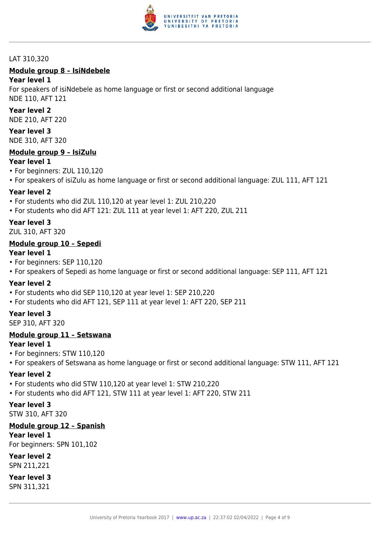

#### LAT 310,320

# **Module group 8 – IsiNdebele**

#### **Year level 1**

For speakers of isiNdebele as home language or first or second additional language NDE 110, AFT 121

#### **Year level 2**

NDE 210, AFT 220

### **Year level 3**

NDE 310, AFT 320

#### **Module group 9 – IsiZulu**

#### **Year level 1**

- For beginners: ZUL 110,120
- For speakers of isiZulu as home language or first or second additional language: ZUL 111, AFT 121

#### **Year level 2**

- For students who did ZUL 110,120 at year level 1: ZUL 210,220
- For students who did AFT 121: ZUL 111 at year level 1: AFT 220, ZUL 211

#### **Year level 3**

ZUL 310, AFT 320

#### **Module group 10 – Sepedi**

#### **Year level 1**

- For beginners: SEP 110,120
- For speakers of Sepedi as home language or first or second additional language: SEP 111, AFT 121

#### **Year level 2**

- For students who did SEP 110,120 at year level 1: SEP 210,220
- For students who did AFT 121, SEP 111 at year level 1: AFT 220, SEP 211

#### **Year level 3**

SEP 310, AFT 320

#### **Module group 11 – Setswana**

#### **Year level 1**

- For beginners: STW 110,120
- For speakers of Setswana as home language or first or second additional language: STW 111, AFT 121

#### **Year level 2**

- For students who did STW 110,120 at year level 1: STW 210,220
- For students who did AFT 121, STW 111 at year level 1: AFT 220, STW 211

#### **Year level 3**

STW 310, AFT 320

#### **Module group 12 – Spanish**

**Year level 1**

For beginners: SPN 101,102

#### **Year level 2**

SPN 211,221

#### **Year level 3**

SPN 311,321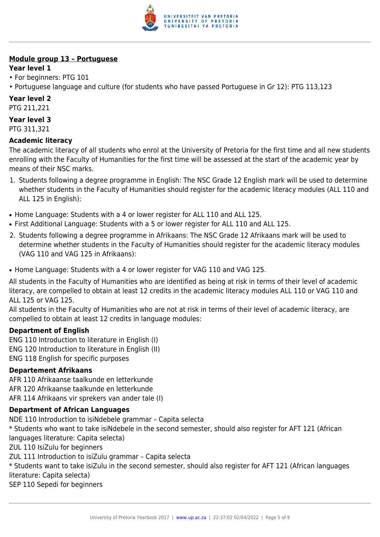

## **Module group 13 – Portuguese**

### **Year level 1**

- For beginners: PTG 101
- Portuguese language and culture (for students who have passed Portuguese in Gr 12): PTG 113,123

# **Year level 2**

PTG 211,221

### **Year level 3**

PTG 311,321

# **Academic literacy**

The academic literacy of all students who enrol at the University of Pretoria for the first time and all new students enrolling with the Faculty of Humanities for the first time will be assessed at the start of the academic year by means of their NSC marks.

- 1. Students following a degree programme in English: The NSC Grade 12 English mark will be used to determine whether students in the Faculty of Humanities should register for the academic literacy modules (ALL 110 and ALL 125 in English):
- Home Language: Students with a 4 or lower register for ALL 110 and ALL 125.
- First Additional Language: Students with a 5 or lower register for ALL 110 and ALL 125.
- 2. Students following a degree programme in Afrikaans: The NSC Grade 12 Afrikaans mark will be used to determine whether students in the Faculty of Humanities should register for the academic literacy modules (VAG 110 and VAG 125 in Afrikaans):
- Home Language: Students with a 4 or lower register for VAG 110 and VAG 125.

All students in the Faculty of Humanities who are identified as being at risk in terms of their level of academic literacy, are compelled to obtain at least 12 credits in the academic literacy modules ALL 110 or VAG 110 and ALL 125 or VAG 125.

All students in the Faculty of Humanities who are not at risk in terms of their level of academic literacy, are compelled to obtain at least 12 credits in language modules:

#### **Department of English**

ENG 110 Introduction to literature in English (I) ENG 120 Introduction to literature in English (II) ENG 118 English for specific purposes

#### **Departement Afrikaans**

AFR 110 Afrikaanse taalkunde en letterkunde AFR 120 Afrikaanse taalkunde en letterkunde AFR 114 Afrikaans vir sprekers van ander tale (I)

#### **Department of African Languages**

NDE 110 Introduction to isiNdebele grammar – Capita selecta \* Students who want to take isiNdebele in the second semester, should also register for AFT 121 (African languages literature: Capita selecta) ZUL 110 IsiZulu for beginners ZUL 111 Introduction to isiZulu grammar – Capita selecta \* Students want to take isiZulu in the second semester, should also register for AFT 121 (African languages literature: Capita selecta) SEP 110 Sepedi for beginners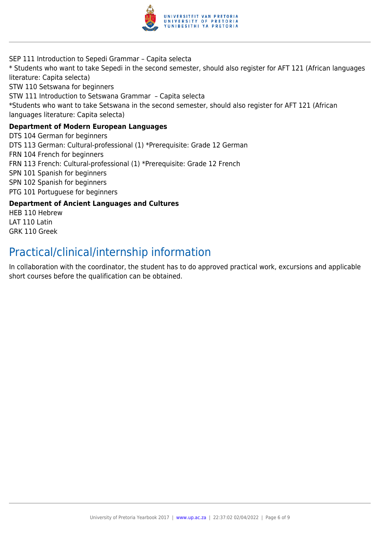

SEP 111 Introduction to Sepedi Grammar – Capita selecta \* Students who want to take Sepedi in the second semester, should also register for AFT 121 (African languages literature: Capita selecta) STW 110 Setswana for beginners STW 111 Introduction to Setswana Grammar – Capita selecta \*Students who want to take Setswana in the second semester, should also register for AFT 121 (African languages literature: Capita selecta) **Department of Modern European Languages** DTS 104 German for beginners DTS 113 German: Cultural-professional (1) \*Prerequisite: Grade 12 German FRN 104 French for beginners FRN 113 French: Cultural-professional (1) \*Prerequisite: Grade 12 French SPN 101 Spanish for beginners SPN 102 Spanish for beginners PTG 101 Portuguese for beginners

#### **Department of Ancient Languages and Cultures**

HEB 110 Hebrew LAT 110 Latin GRK 110 Greek

# Practical/clinical/internship information

In collaboration with the coordinator, the student has to do approved practical work, excursions and applicable short courses before the qualification can be obtained.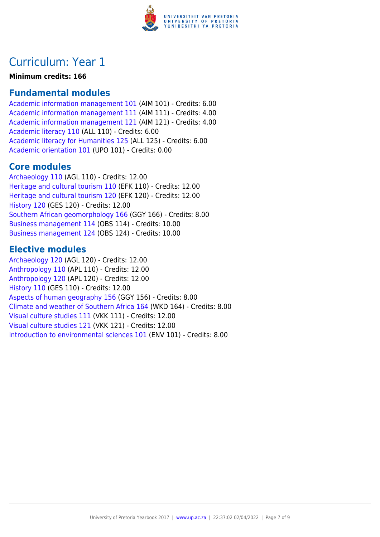

# Curriculum: Year 1

**Minimum credits: 166**

# **Fundamental modules**

[Academic information management 101](https://www.up.ac.za/parents/yearbooks/2017/modules/view/AIM 101) (AIM 101) - Credits: 6.00 [Academic information management 111](https://www.up.ac.za/parents/yearbooks/2017/modules/view/AIM 111) (AIM 111) - Credits: 4.00 [Academic information management 121](https://www.up.ac.za/parents/yearbooks/2017/modules/view/AIM 121) (AIM 121) - Credits: 4.00 [Academic literacy 110](https://www.up.ac.za/parents/yearbooks/2017/modules/view/ALL 110) (ALL 110) - Credits: 6.00 [Academic literacy for Humanities 125](https://www.up.ac.za/parents/yearbooks/2017/modules/view/ALL 125) (ALL 125) - Credits: 6.00 [Academic orientation 101](https://www.up.ac.za/parents/yearbooks/2017/modules/view/UPO 101) (UPO 101) - Credits: 0.00

# **Core modules**

[Archaeology 110](https://www.up.ac.za/parents/yearbooks/2017/modules/view/AGL 110) (AGL 110) - Credits: 12.00 [Heritage and cultural tourism 110](https://www.up.ac.za/parents/yearbooks/2017/modules/view/EFK 110) (EFK 110) - Credits: 12.00 [Heritage and cultural tourism 120](https://www.up.ac.za/parents/yearbooks/2017/modules/view/EFK 120) (EFK 120) - Credits: 12.00 [History 120](https://www.up.ac.za/parents/yearbooks/2017/modules/view/GES 120) (GES 120) - Credits: 12.00 [Southern African geomorphology 166](https://www.up.ac.za/parents/yearbooks/2017/modules/view/GGY 166) (GGY 166) - Credits: 8.00 [Business management 114](https://www.up.ac.za/parents/yearbooks/2017/modules/view/OBS 114) (OBS 114) - Credits: 10.00 [Business management 124](https://www.up.ac.za/parents/yearbooks/2017/modules/view/OBS 124) (OBS 124) - Credits: 10.00

# **Elective modules**

[Archaeology 120](https://www.up.ac.za/parents/yearbooks/2017/modules/view/AGL 120) (AGL 120) - Credits: 12.00 [Anthropology 110](https://www.up.ac.za/parents/yearbooks/2017/modules/view/APL 110) (APL 110) - Credits: 12.00 [Anthropology 120](https://www.up.ac.za/parents/yearbooks/2017/modules/view/APL 120) (APL 120) - Credits: 12.00 [History 110](https://www.up.ac.za/parents/yearbooks/2017/modules/view/GES 110) (GES 110) - Credits: 12.00 [Aspects of human geography 156](https://www.up.ac.za/parents/yearbooks/2017/modules/view/GGY 156) (GGY 156) - Credits: 8.00 [Climate and weather of Southern Africa 164](https://www.up.ac.za/parents/yearbooks/2017/modules/view/WKD 164) (WKD 164) - Credits: 8.00 [Visual culture studies 111](https://www.up.ac.za/parents/yearbooks/2017/modules/view/VKK 111) (VKK 111) - Credits: 12.00 [Visual culture studies 121](https://www.up.ac.za/parents/yearbooks/2017/modules/view/VKK 121) (VKK 121) - Credits: 12.00 [Introduction to environmental sciences 101](https://www.up.ac.za/parents/yearbooks/2017/modules/view/ENV 101) (ENV 101) - Credits: 8.00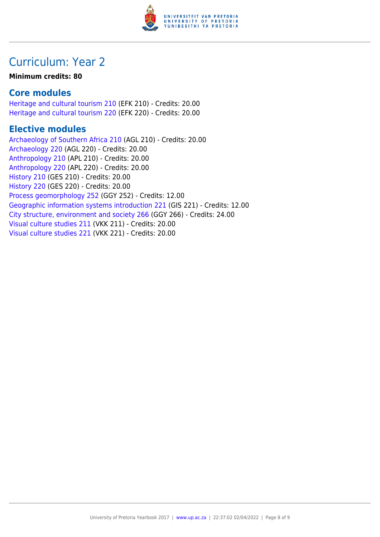

# Curriculum: Year 2

#### **Minimum credits: 80**

# **Core modules**

[Heritage and cultural tourism 210](https://www.up.ac.za/parents/yearbooks/2017/modules/view/EFK 210) (EFK 210) - Credits: 20.00 [Heritage and cultural tourism 220](https://www.up.ac.za/parents/yearbooks/2017/modules/view/EFK 220) (EFK 220) - Credits: 20.00

# **Elective modules**

[Archaeology of Southern Africa 210](https://www.up.ac.za/parents/yearbooks/2017/modules/view/AGL 210) (AGL 210) - Credits: 20.00 [Archaeology 220](https://www.up.ac.za/parents/yearbooks/2017/modules/view/AGL 220) (AGL 220) - Credits: 20.00 [Anthropology 210](https://www.up.ac.za/parents/yearbooks/2017/modules/view/APL 210) (APL 210) - Credits: 20.00 [Anthropology 220](https://www.up.ac.za/parents/yearbooks/2017/modules/view/APL 220) (APL 220) - Credits: 20.00 [History 210](https://www.up.ac.za/parents/yearbooks/2017/modules/view/GES 210) (GES 210) - Credits: 20.00 [History 220](https://www.up.ac.za/parents/yearbooks/2017/modules/view/GES 220) (GES 220) - Credits: 20.00 [Process geomorphology 252](https://www.up.ac.za/parents/yearbooks/2017/modules/view/GGY 252) (GGY 252) - Credits: 12.00 [Geographic information systems introduction 221](https://www.up.ac.za/parents/yearbooks/2017/modules/view/GIS 221) (GIS 221) - Credits: 12.00 [City structure, environment and society 266](https://www.up.ac.za/parents/yearbooks/2017/modules/view/GGY 266) (GGY 266) - Credits: 24.00 [Visual culture studies 211](https://www.up.ac.za/parents/yearbooks/2017/modules/view/VKK 211) (VKK 211) - Credits: 20.00 [Visual culture studies 221](https://www.up.ac.za/parents/yearbooks/2017/modules/view/VKK 221) (VKK 221) - Credits: 20.00